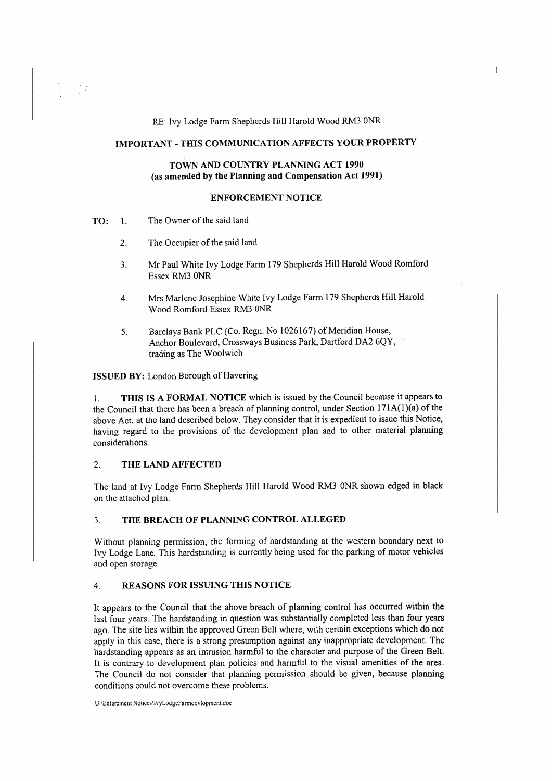RE: Ivy Lodge Farm Shepherds Hill Harold Wood RM3 0NR

# **IMPORTANT -THIS COMMUNICATION AFFECTS YOUR PROPERTY**

### **TOWN AND COUNTRY PLANNING ACT 1990 (as amended by the Planning and Compensation Act 1991)**

### **ENFORCEMENT NOTICE**

**TO:** 1. The Owner of the said land

 $\frac{1}{2} \left( \frac{1}{2} \right)^2$ 

- 2. The Occupier of the said land
- 3. Mr Paul White Ivy Lodge Farm 179 Shepherds Hill Harold Wood Romford Essex RM3 0NR
- 4. Mrs Marlene Josephine White Ivy Lodge Farm 179 Shepherds Hill Harold Wood Romford Essex RM3 0NR
- 5. Barclays Bank PLC (Co. Regn. No 1026167) of Meridian House, Anchor Boulevard, Crossways Business Park, Dartford DA2 6QY, trading as The Woolwich

**ISSUED BY:** London Borough of Havering

1. **THIS IS A FORMAL NOTICE** which is issued by the Council because it appears to the Council that there has been a breach of planning control, under Section  $171A(1)(a)$  of the above Act, at the land described below. They consider that it is expedient to issue this Notice, having regard to the provisions of the development plan and to other material planning considerations.

## 2. **THE LAND AFFECTED**

The land at Ivy Lodge Farm Shepherds Hill Harold Wood RM3 0NR shown edged in black on the attached plan.

#### 3. **THE BREACH OF PLANNING CONTROL ALLEGED**

Without planning permission, the forming of hardstanding at the western boundary next to Ivy Lodge Lane. This hardstanding is currently being used for the parking of motor vehicles and open storage.

# 4. **REASONS FOR ISSUING THIS NOTICE**

It appears to the Council that the above breach of planning control has occurred within the last four years. The hardstanding in question was substantially completed less than four years ago. The site lies within the approved Green Belt where, with certain exceptions which do not apply in this case, there is a strong presumption against any inappropriate development. The hardstanding appears as an intrusion harmful to the character and purpose of the Green Belt. It is contrary to development plan policies and harmful to the visual amenities of the area. The Council do not consider that planning permission should be given, because planning conditions could not overcome these problems.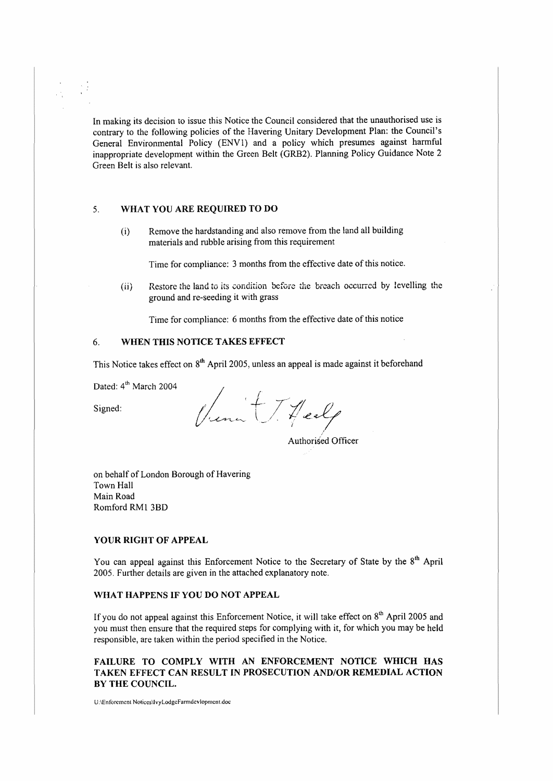In making its decision to issue this Notice the Council considered that the unauthorised use is contrary to the following policies of the Havering Unitary Development Plan: the Council's General Environmental Policy (ENVl) and a policy which presumes against harmful inappropriate development within the Green Belt (GRB2). Planning Policy Guidance Note 2 Green Belt is also relevant.

## *5.* **WHAT YOU ARE REQUIRED TO DO**

(i) Remove the hardstanding and also remove from the land all building materials and rubble arising from this requirement

Time for compliance: 3 months from the effective date of this notice.

(ii) Restore the land to its condition before the breach occurred by levelling the ground and re-seeding it with grass

Time for compliance: 6 months from the effective date of this notice

## 6. **WHEN THIS NOTICE TAKES EFFECT**

This Notice takes effect on  $8<sup>th</sup>$  April 2005, unless an appeal is made against it beforehand

Dated: 4<sup>th</sup> March 2004

Signed:

Venut T. Healy

Authorised Officer

on behalf of London Borough of Havering Town Hall Main Road Romford RMl 3BD

#### **YOUR RIGHT OF APPEAL**

You can appeal against this Enforcement Notice to the Secretary of State by the 8<sup>th</sup> April 2005. Further details are given in the attached explanatory note.

### **WHAT HAPPENS IF YOU DO NOT APPEAL**

If you do not appeal against this Enforcement Notice, it will take effect on  $8<sup>th</sup>$  April 2005 and you must then ensure that the required steps for complying with it, for which you may be held responsible, are taken within the period specified in the Notice.

## **FAILURE TO COMPLY WITH AN ENFORCEMENT NOTICE WHICH HAS TAKEN EFFECT CAN RESULT IN PROSECUTION AND/OR REMEDIAL ACTION BY THE COUNCIL.**

U:\Enforcmcnl Nolices\lvyLodgcfanndcvlopmcnt.doe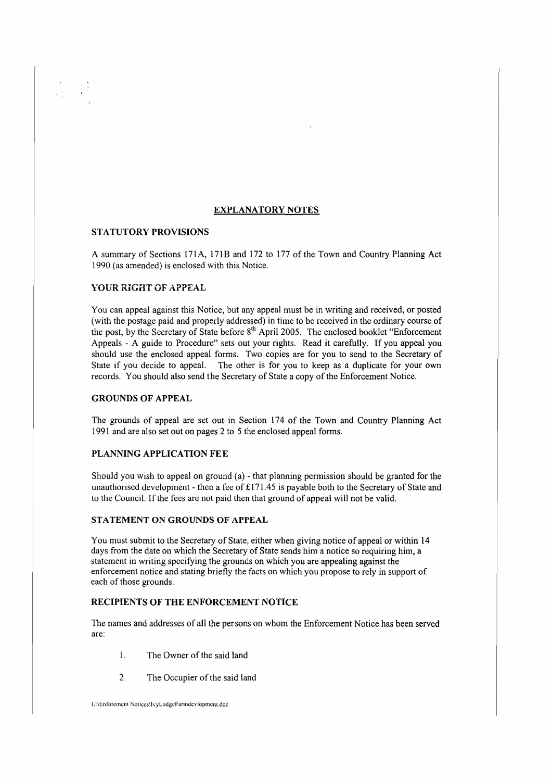## **EXPLANATORY NOTES**

## **STATUTORY PROVISIONS**

A summary of Sections 171A, 171B and 172 to 177 of the Town and Country Planning Act 1990 (as amended) is enclosed with this Notice.

### YOUR RIGHT OF APPEAL

You can appeal against this Notice, but any appeal must be in writing and received, or posted (with the postage paid and properly addressed) in time to be received in the ordinary course of the post, by the Secretary of State before 8<sup>th</sup> April 2005. The enclosed booklet "Enforcement" Appeals - A guide to Procedure" sets out your rights. Read it carefully. lf you appeal you should use the enclosed appeal forms. Two copies are for you to send to the Secretary of State if you decide to appeal. The other is for you to keep as a duplicate for your own records. You should also send the Secretary of State a copy of the Enforcement Notice.

#### **GROUNDS OF APPEAL**

The grounds of appeal are set out in Section 174 of the Town and Country Planning Act 1991 and are also set out on pages 2 to 5 the enclosed appeal forms.

### **PLANNING APPLICATION FEE**

Should you wish to appeal on ground (a) - that planning permission should be granted for the unauthorised development - then a fee of£ 171 *A5* is payable both to the Secretary of State and to the Council. If the fees are not paid then that ground of appeal will not be valid.

## **STATEMENT ON GROUNDS OF APPEAL**

You must submit to the Secretary of State, either when giving notice of appeal or within 14 days from the date on which the Secretary of State sends him a notice so requiring him, a statement in writing specifying the grounds on which you are appealing against the enforcement notice and stating briefly the facts on which you propose to rely in support of each of those grounds.

## **RECIPIENTS OF THE ENFORCEMENT NOTICE**

The names and addresses of all the persons on whom the Enforcement Notice has been served are:

- 1. The Owner of the said land
- 2. The Occupier of the said land

U:\Enforcment Notices\lvvLodgeFarmdcvlopment.doc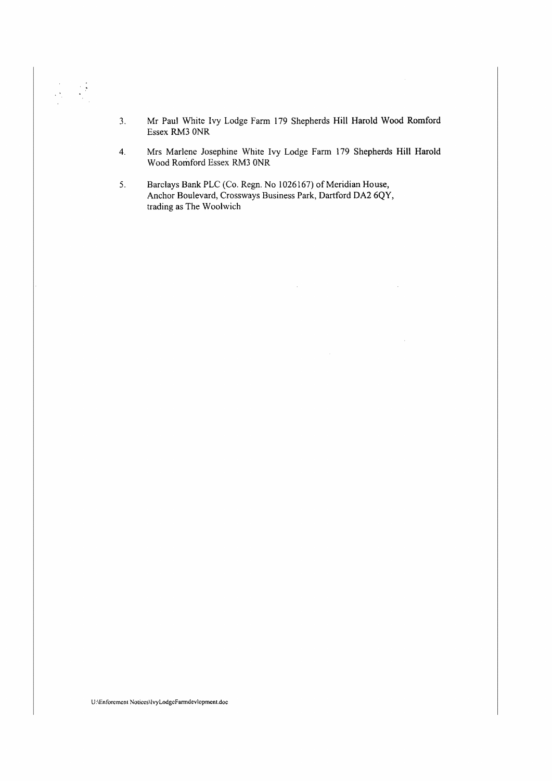- 3. Mr Paul White Ivy Lodge Farm 179 Shepherds **Hill** Harold Wood Romford Essex RM3 ONR
- 4. Mrs Marlene Josephine White Ivy Lodge Farm 179 Shepherds Hill Harold Wood Romford Essex RM3 ONR
- 5. Barclays Bank PLC (Co. Regn. No 1026167) of Meridian House, Anchor Boulevard, Crossways Business Park, Dartford DA2 6QY, trading as The Woolwich

U:\Enforcmcnt NoticcsllvyLodgcFanndevlopmcnt.doc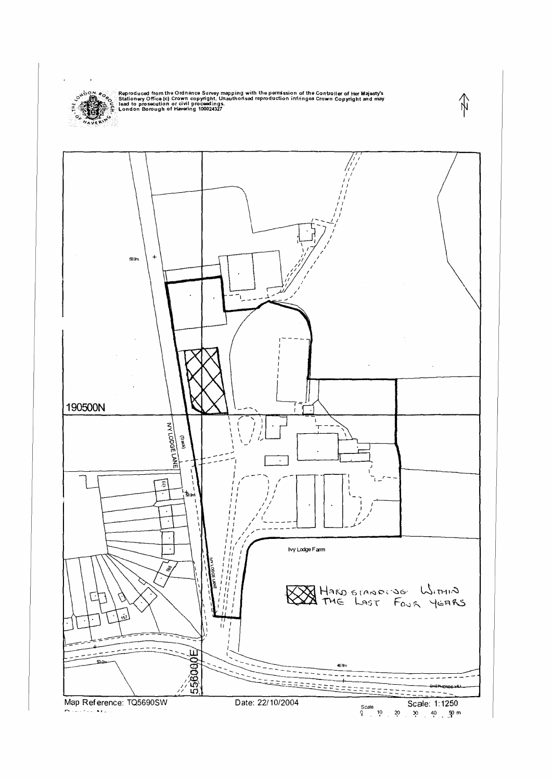

్ సీరంగాలిం, ్ Reproduced from the Ordnance Survey mapping with the permission of the Controller of Her Majesty's<br>- మాట్లాడ్ మార్చిక Stationery Office (c) Crown copyright. Unauthorised reproduction infringes Crown Copyri



∕∱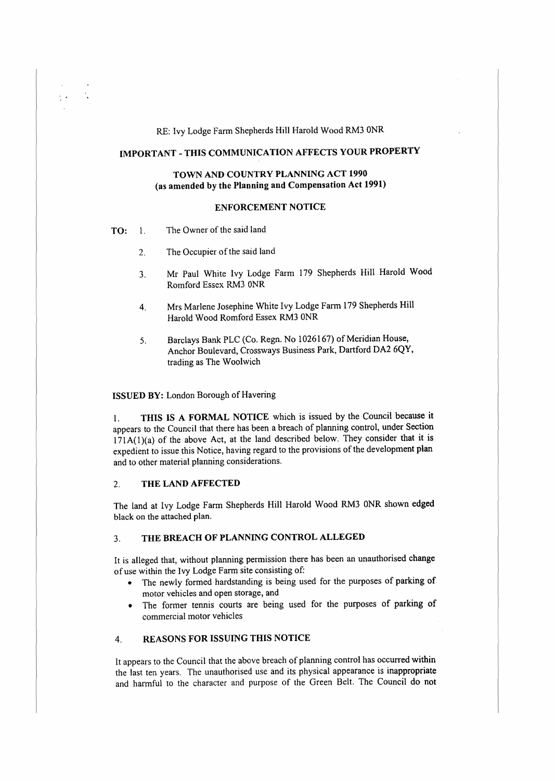RE: Ivy Lodge Farm Shepherds Hill Harold Wood RM3 ONR

## **IMPORTANT -THIS COMMUNICATION AFFECTS YOUR PROPERTY**

## **TOWN AND COUNTRY PLANNING ACT 1990 (as amended by the Planning and Compensation Act 1991)**

### **ENFORCEMENT NOTICE**

**TO:** l. The Owner of the said land

 $\frac{1}{2}$  .

- 2. The Occupier of the said land
- 3. Mr Paul White Ivy Lodge Farm 179 Shepherds Hill Harold Wood Romford Essex RM3 0NR
- 4. Mrs Marlene Josephine White Ivy Lodge Farm 179 Shepherds Hill Harold Wood Romford Essex RM3 0NR
- 5. Barclays Bank PLC (Co. Regn. No 1026167) of Meridian House, Anchor Boulevard, Crossways Business Park, Dartford DA2 6QY, trading as The Woolwich

ISSUED **BY:** London Borough of Havering

1. **THIS IS A FORMAL NOTICE** which is issued by the Council because it appears to the Council that there has been a breach of planning control, under Section 171A{l)(a) of the above Act, at the land described below. They consider that it **is**  expedient to issue this Notice, having regard to the provisions of the development **plan**  and to other material planning considerations.

#### 2. **THE LAND AFFECTED**

The land at Ivy Lodge Farm Shepherds Hill Harold Wood RM3 0NR shown **edged**  black on the attached plan.

#### 3. **THE BREACH OF PLANNING CONTROL ALLEGED**

It is alleged that, without planning permission there has been an unauthorised change of use within the Ivy Lodge Farm site consisting of:

- The newly formed hardstanding is being used for the purposes of parking of motor vehicles and open storage, and
- The former tennis courts are being used for the purposes of parking of commercial motor vehicles

# 4. **REASONS FOR ISSUING THIS NOTICE**

lt appears to the Council that the above breach of planning control has occurred within the last ten years. The unauthorised use and its physical appearance is inappropriate and harmful to the character and purpose of the Green Belt. The Council do not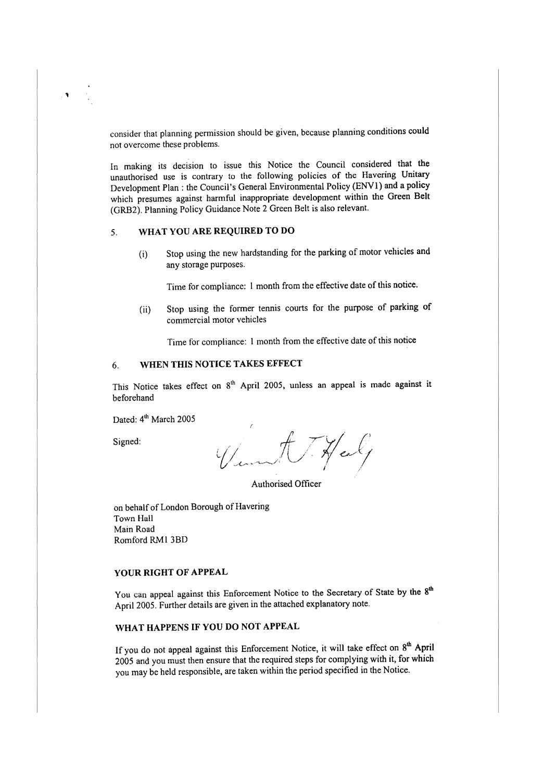consider that planning permission should be given, because planning conditions could not overcome these problems.

In making its decision to issue this Notice the Council considered that the unauthorised use is contrary to the following policies of the Havering Unitary Development Plan: the Council's General Environmental Policy (ENVl) and a policy which presumes against harmful inappropriate development within the Green **Belt**  (GRB2). Planning Policy Guidance Note 2 Green Belt is also relevant.

# 5. **WHAT YOU ARE REQUIRED TO DO**

(i) Stop using the new hardstanding for the parking of motor vehicles and any storage purposes.

Time for compliance: 1 month from the effective date of this notice.

(ii) Stop using the former tennis courts for the purpose of parking of commercial motor vehicles

Time for compliance: I month from the effective date of this notice

# 6. **WHEN THIS NOTICE TAKES EFFECT**

This Notice takes effect on 8<sup>th</sup> April 2005, unless an appeal is made against it beforehand

Dated: 4<sup>th</sup> March 2005

Signed:

Half

Authorised Officer

on behalf of London Borough of Havering Town Hall Main Road Romford RMI 3BD

### **YOUR RIGHT OF APPEAL**

You can appeal against this Enforcement Notice to the Secretary of State by the 8<sup>th</sup> April 2005. Further details are given in the attached explanatory note.

# **WHAT HAPPENS IF YOU DO NOT APPEAL**

If you do not appeal against this Enforcement Notice, it will take effect on  $8<sup>th</sup>$  April 2005 and you must then ensure that the required steps for complying with it, for which you may be held responsible, are taken within the period specified in the Notice.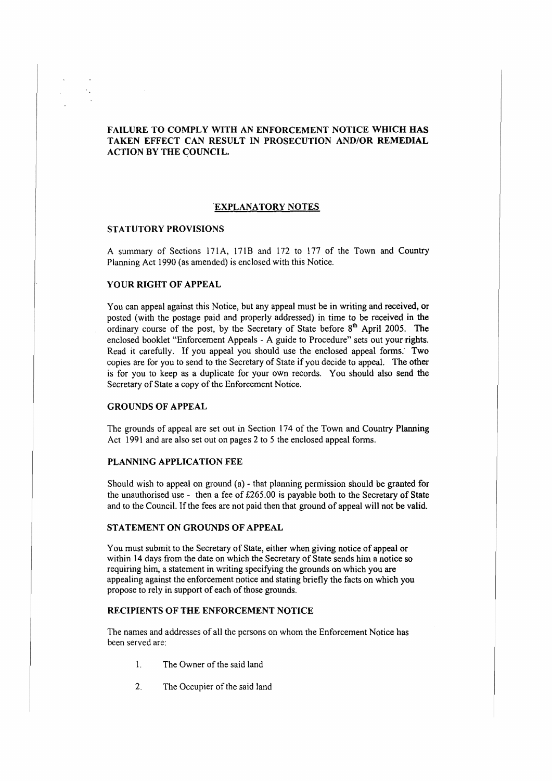## **FAILURE TO COMPLY WITH AN ENFORCEMENT NOTICE WHICH HAS TAKEN EFFECT CAN RESULT IN PROSECUTION AND/OR REMEDIAL ACTION BY THE COUNCIL.**

### **"EXPLANATORY NOTES**

### **STATUTORY PROVISIONS**

A summary of Sections 171A, 171B and 172 to 177 of the Town and Country Planning Act 1990 (as amended) is enclosed with this Notice.

#### **YOUR RIGHT OF APPEAL**

You can appeal against this Notice, but any appeal must be in writing and received, or posted (with the postage paid and properly addressed) in time to be received in the ordinary course of the post, by the Secretary of State before  $8<sup>th</sup>$  April 2005. The enclosed booklet "Enforcement Appeals - A guide to Procedure" sets out your rights. Read it carefully. If you appeal you should use the enclosed appeal forms. Two copies are for you to send to the Secretary of State if you decide to appeal. The other is for you to keep as a duplicate for your own records. You should also send the Secretary of State a copy of the Enforcement Notice.

#### **GROUNDS OF APPEAL**

The grounds of appeal are set out in Section 174 of the Town and Country **Planning**  Act 1991 and are also set out on pages 2 to 5 the enclosed appeal forms.

## **PLANNING APPLICATION FEE**

Should wish to appeal on ground (a) - that planning permission should be granted for the unauthorised use - then a fee of £265.00 is payable both to the Secretary of State and to the Council. If the fees are not paid then that ground of appeal will not be valid.

### **STATEMENT ON GROUNDS OF APPEAL**

You must submit to the Secretary of State, either when giving notice of appeal or within 14 days from the date on which the Secretary of State sends him a notice so requiring him, a statement in writing specifying the grounds on which you are appealing against the enforcement notice and stating briefly the facts on which you propose to rely in support of each of those grounds.

## **RECIPIENTS OF THE ENFORCEMENT NOTICE**

The names and addresses of all the persons on whom the Enforcement **Notice has**  been served are:

- I. The Owner of the said land
- 2. The Occupier of the said land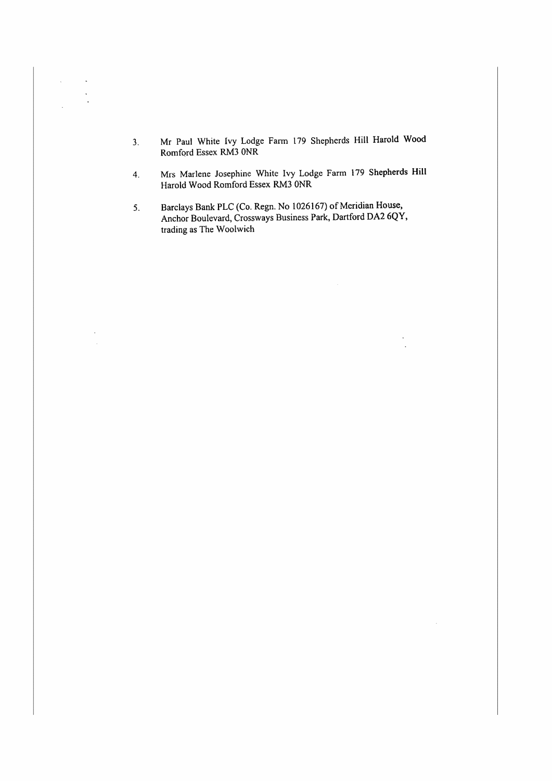3. Mr Paul White Ivy Lodge Farm 179 Shepherds Hill Harold Wood Romford Essex RM3 ONR

 $\bar{\beta}$  $\frac{1}{2}$ 

> $\ddot{\phantom{a}}$ J.

- 4. Mrs Marlene Josephine White Ivy Lodge Farm 179 Shepherds Hill Harold Wood Romford Essex RM3 ONR
- 5. Barclays Bank PLC (Co. Regn. No 1026167) of Meridian House, Anchor Boulevard, Crossways Business Park, Dartford DA2 6QY, trading as The Woolwich